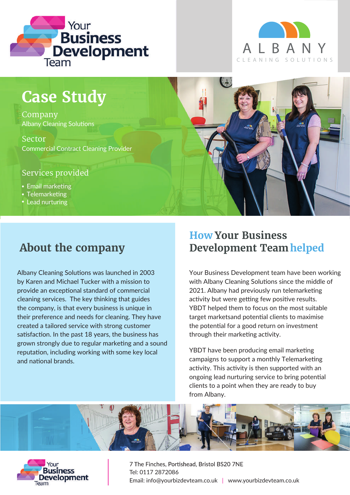



# **Case Study**

Company Albany Cleaning Solutions

Sector Commercial Contract Cleaning Provider

#### Services provided

- Email marketing
- Telemarketing
- Lead nurturing

# **About the company**

Albany Cleaning Solutions was launched in 2003 by Karen and Michael Tucker with a mission to provide an exceptional standard of commercial cleaning services. The key thinking that guides the company, is that every business is unique in their preference and needs for cleaning. They have created a tailored service with strong customer satisfaction. In the past 18 years, the business has grown strongly due to regular marketing and a sound reputation, including working with some key local and national brands.

### **How Your Business Development Team helped**

 $($ +

Your Business Development team have been working with Albany Cleaning Solutions since the middle of 2021. Albany had previously run telemarketing activity but were getting few positive results. YBDT helped them to focus on the most suitable target marketsand potential clients to maximise the potential for a good return on investment through their marketing activity.

YBDT have been producing email marketing campaigns to support a monthly Telemarketing activity. This activity is then supported with an ongoing lead nurturing service to bring potential clients to a point when they are ready to buy from Albany.





7 The Finches, Portishead, Bristol BS20 7NE Tel: 0117 2872086 Email: info@yourbizdevteam.co.uk | www.yourbizdevteam.co.uk